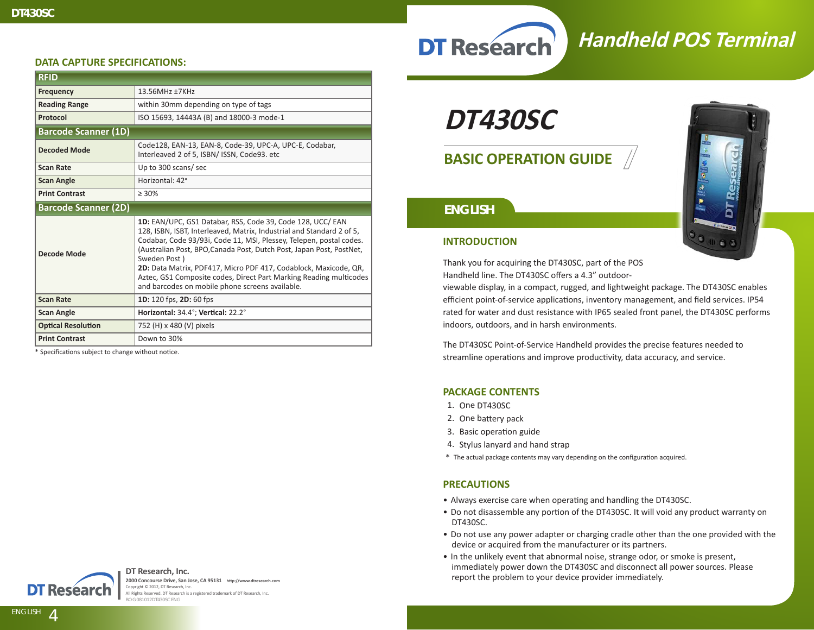## **DT Research**

### **Handheld POS Terminal**

#### **DATA CAPTURE SPECIFICATIONS:**

| <b>RFID</b>                 |                                                                                                                                                                                                                                                                                                                                                                                                                                                                                                 |
|-----------------------------|-------------------------------------------------------------------------------------------------------------------------------------------------------------------------------------------------------------------------------------------------------------------------------------------------------------------------------------------------------------------------------------------------------------------------------------------------------------------------------------------------|
| <b>Frequency</b>            | 13.56MHz ±7KHz                                                                                                                                                                                                                                                                                                                                                                                                                                                                                  |
| <b>Reading Range</b>        | within 30mm depending on type of tags                                                                                                                                                                                                                                                                                                                                                                                                                                                           |
| Protocol                    | ISO 15693, 14443A (B) and 18000-3 mode-1                                                                                                                                                                                                                                                                                                                                                                                                                                                        |
| <b>Barcode Scanner (1D)</b> |                                                                                                                                                                                                                                                                                                                                                                                                                                                                                                 |
| <b>Decoded Mode</b>         | Code128, EAN-13, EAN-8, Code-39, UPC-A, UPC-E, Codabar,<br>Interleaved 2 of 5, ISBN/ ISSN, Code93. etc                                                                                                                                                                                                                                                                                                                                                                                          |
| <b>Scan Rate</b>            | Up to 300 scans/sec                                                                                                                                                                                                                                                                                                                                                                                                                                                                             |
| <b>Scan Angle</b>           | Horizontal: 42°                                                                                                                                                                                                                                                                                                                                                                                                                                                                                 |
| <b>Print Contrast</b>       | $> 30\%$                                                                                                                                                                                                                                                                                                                                                                                                                                                                                        |
| <b>Barcode Scanner (2D)</b> |                                                                                                                                                                                                                                                                                                                                                                                                                                                                                                 |
| Decode Mode                 | 1D: EAN/UPC, GS1 Databar, RSS, Code 39, Code 128, UCC/ EAN<br>128, ISBN, ISBT, Interleaved, Matrix, Industrial and Standard 2 of 5,<br>Codabar, Code 93/93i, Code 11, MSI, Plessey, Telepen, postal codes.<br>(Australian Post, BPO, Canada Post, Dutch Post, Japan Post, PostNet,<br>Sweden Post)<br>2D: Data Matrix, PDF417, Micro PDF 417, Codablock, Maxicode, QR,<br>Aztec, GS1 Composite codes, Direct Part Marking Reading multicodes<br>and barcodes on mobile phone screens available. |
| <b>Scan Rate</b>            | 1D: 120 fps, 2D: 60 fps                                                                                                                                                                                                                                                                                                                                                                                                                                                                         |
| <b>Scan Angle</b>           | Horizontal: 34.4°; Vertical: 22.2°                                                                                                                                                                                                                                                                                                                                                                                                                                                              |
| <b>Optical Resolution</b>   | 752 (H) x 480 (V) pixels                                                                                                                                                                                                                                                                                                                                                                                                                                                                        |
| <b>Print Contrast</b>       | Down to 30%                                                                                                                                                                                                                                                                                                                                                                                                                                                                                     |

\* Specifications subject to change without notice.



**DT Research, Inc. 2000 Concourse Drive, San Jose, CA 95131 http://www.dtresearch.com** Copyright © 2012, DT Research, Inc. All Rights Reserved. DT Research is a registered trademark of DT Research, Inc. BOG081012DT430SCENG

**DT430SC**

**BASIC OPERATION GUIDE**

# DT Res

#### *ENGLISH*

#### **INTRODUCTION**

Thank you for acquiring the DT430SC, part of the POS Handheld line. The DT430SC offers a 4.3" outdoor-

viewable display, in a compact, rugged, and lightweight package. The DT430SC enables efficient point-of-service applications, inventory management, and field services. IP54 rated for water and dust resistance with IP65 sealed front panel, the DT430SC performs indoors, outdoors, and in harsh environments.

The DT430SC Point-of-Service Handheld provides the precise features needed to streamline operations and improve productivity, data accuracy, and service.

#### **PACKAGE CONTENTS**

- 1. One DT430SC
- 2. One battery pack
- 3. Basic operation guide
- 4. Stylus lanyard and hand strap
- \* The actual package contents may vary depending on the configuration acquired.

#### **PRECAUTIONS**

- Always exercise care when operating and handling the DT430SC.
- Do not disassemble any portion of the DT430SC. It will void any product warranty on DT430SC.
- Do not use any power adapter or charging cradle other than the one provided with the device or acquired from the manufacturer or its partners.
- In the unlikely event that abnormal noise, strange odor, or smoke is present, immediately power down the DT430SC and disconnect all power sources. Please report the problem to your device provider immediately.

**ENGLISH signage dtri com**